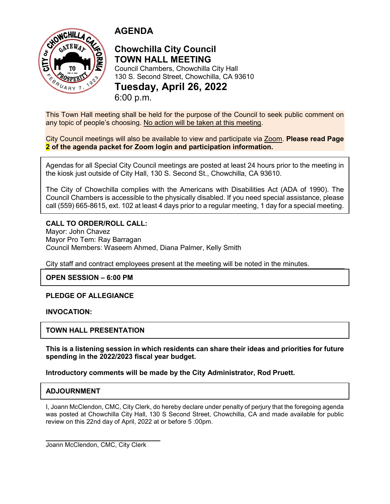

# **AGENDA**

# **Chowchilla City Council TOWN HALL MEETING**

Council Chambers, Chowchilla City Hall 130 S. Second Street, Chowchilla, CA 93610 **Tuesday, April 26, 2022** 6:00 p.m.

This Town Hall meeting shall be held for the purpose of the Council to seek public comment on any topic of people's choosing. No action will be taken at this meeting.

City Council meetings will also be available to view and participate via Zoom. **Please read Page 2 of the agenda packet for Zoom login and participation information.**

Agendas for all Special City Council meetings are posted at least 24 hours prior to the meeting in the kiosk just outside of City Hall, 130 S. Second St., Chowchilla, CA 93610.

The City of Chowchilla complies with the Americans with Disabilities Act (ADA of 1990). The Council Chambers is accessible to the physically disabled. If you need special assistance, please call (559) 665-8615, ext. 102 at least 4 days prior to a regular meeting, 1 day for a special meeting.

### **CALL TO ORDER/ROLL CALL:**

Mayor: John Chavez Mayor Pro Tem: Ray Barragan Council Members: Waseem Ahmed, Diana Palmer, Kelly Smith

City staff and contract employees present at the meeting will be noted in the minutes.

**OPEN SESSION – 6:00 PM**

#### **PLEDGE OF ALLEGIANCE**

#### **INVOCATION:**

### **TOWN HALL PRESENTATION**

**This is a listening session in which residents can share their ideas and priorities for future spending in the 2022/2023 fiscal year budget.**

**Introductory comments will be made by the City Administrator, Rod Pruett.** 

### **ADJOURNMENT**

I, Joann McClendon, CMC, City Clerk, do hereby declare under penalty of perjury that the foregoing agenda was posted at Chowchilla City Hall, 130 S Second Street, Chowchilla, CA and made available for public review on this 22nd day of April, 2022 at or before 5 :00pm.

Joann McClendon, CMC, City Clerk